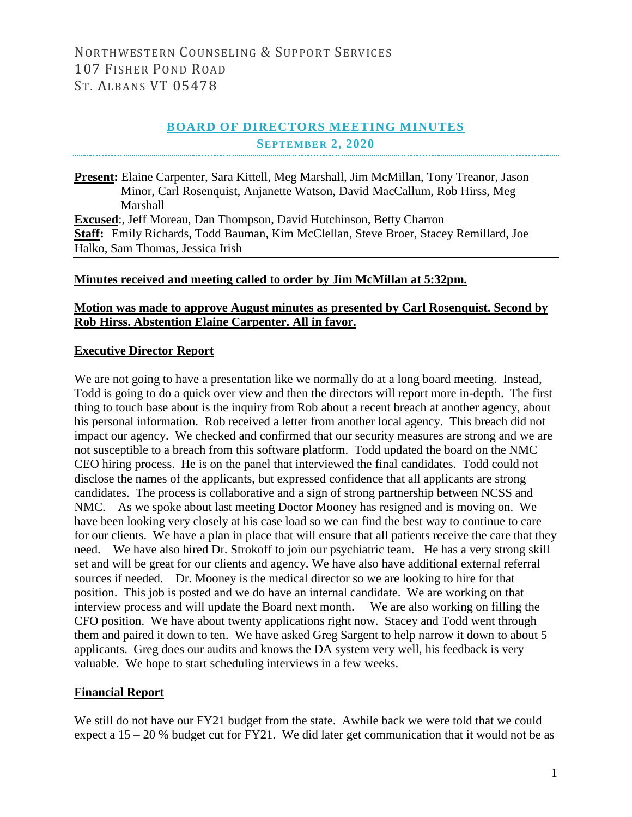## **BOARD OF DIRECTORS MEETING MINUTES SEPTEMBER 2, 2020**

**Present:** Elaine Carpenter, Sara Kittell, Meg Marshall, Jim McMillan, Tony Treanor, Jason Minor, Carl Rosenquist, Anjanette Watson, David MacCallum, Rob Hirss, Meg Marshall **Excused:**, Jeff Moreau, Dan Thompson, David Hutchinson, Betty Charron **Staff:** Emily Richards, Todd Bauman, Kim McClellan, Steve Broer, Stacey Remillard, Joe Halko, Sam Thomas, Jessica Irish

#### **Minutes received and meeting called to order by Jim McMillan at 5:32pm.**

### **Motion was made to approve August minutes as presented by Carl Rosenquist. Second by Rob Hirss. Abstention Elaine Carpenter. All in favor.**

#### **Executive Director Report**

We are not going to have a presentation like we normally do at a long board meeting. Instead, Todd is going to do a quick over view and then the directors will report more in-depth. The first thing to touch base about is the inquiry from Rob about a recent breach at another agency, about his personal information. Rob received a letter from another local agency. This breach did not impact our agency. We checked and confirmed that our security measures are strong and we are not susceptible to a breach from this software platform. Todd updated the board on the NMC CEO hiring process. He is on the panel that interviewed the final candidates. Todd could not disclose the names of the applicants, but expressed confidence that all applicants are strong candidates. The process is collaborative and a sign of strong partnership between NCSS and NMC. As we spoke about last meeting Doctor Mooney has resigned and is moving on. We have been looking very closely at his case load so we can find the best way to continue to care for our clients. We have a plan in place that will ensure that all patients receive the care that they need. We have also hired Dr. Strokoff to join our psychiatric team. He has a very strong skill set and will be great for our clients and agency. We have also have additional external referral sources if needed. Dr. Mooney is the medical director so we are looking to hire for that position. This job is posted and we do have an internal candidate. We are working on that interview process and will update the Board next month. We are also working on filling the CFO position. We have about twenty applications right now. Stacey and Todd went through them and paired it down to ten. We have asked Greg Sargent to help narrow it down to about 5 applicants. Greg does our audits and knows the DA system very well, his feedback is very valuable. We hope to start scheduling interviews in a few weeks.

### **Financial Report**

We still do not have our FY21 budget from the state. Awhile back we were told that we could expect a  $15 - 20$  % budget cut for FY21. We did later get communication that it would not be as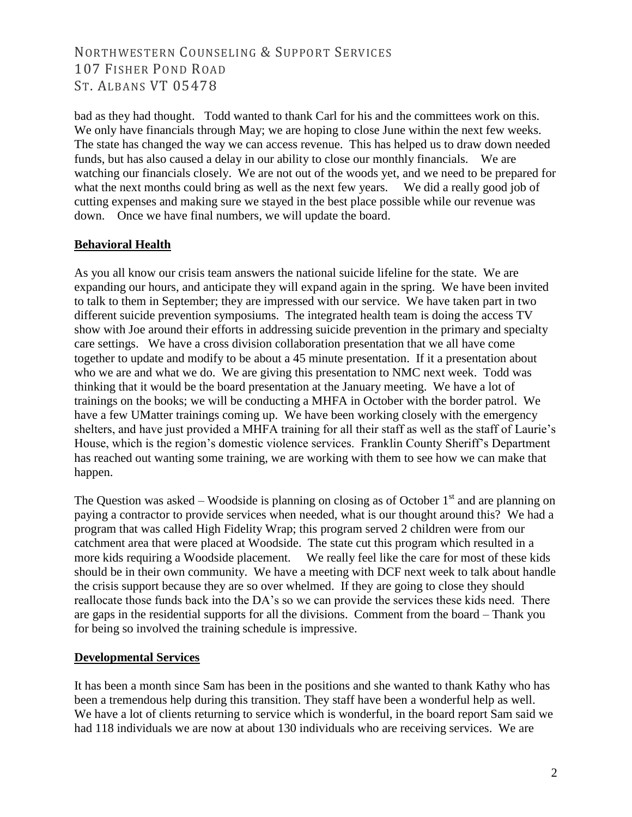bad as they had thought. Todd wanted to thank Carl for his and the committees work on this. We only have financials through May; we are hoping to close June within the next few weeks. The state has changed the way we can access revenue. This has helped us to draw down needed funds, but has also caused a delay in our ability to close our monthly financials. We are watching our financials closely. We are not out of the woods yet, and we need to be prepared for what the next months could bring as well as the next few years. We did a really good job of cutting expenses and making sure we stayed in the best place possible while our revenue was down. Once we have final numbers, we will update the board.

## **Behavioral Health**

As you all know our crisis team answers the national suicide lifeline for the state. We are expanding our hours, and anticipate they will expand again in the spring. We have been invited to talk to them in September; they are impressed with our service. We have taken part in two different suicide prevention symposiums. The integrated health team is doing the access TV show with Joe around their efforts in addressing suicide prevention in the primary and specialty care settings. We have a cross division collaboration presentation that we all have come together to update and modify to be about a 45 minute presentation. If it a presentation about who we are and what we do. We are giving this presentation to NMC next week. Todd was thinking that it would be the board presentation at the January meeting. We have a lot of trainings on the books; we will be conducting a MHFA in October with the border patrol. We have a few UMatter trainings coming up. We have been working closely with the emergency shelters, and have just provided a MHFA training for all their staff as well as the staff of Laurie's House, which is the region's domestic violence services. Franklin County Sheriff's Department has reached out wanting some training, we are working with them to see how we can make that happen.

The Question was asked – Woodside is planning on closing as of October  $1<sup>st</sup>$  and are planning on paying a contractor to provide services when needed, what is our thought around this? We had a program that was called High Fidelity Wrap; this program served 2 children were from our catchment area that were placed at Woodside. The state cut this program which resulted in a more kids requiring a Woodside placement. We really feel like the care for most of these kids should be in their own community. We have a meeting with DCF next week to talk about handle the crisis support because they are so over whelmed. If they are going to close they should reallocate those funds back into the DA's so we can provide the services these kids need. There are gaps in the residential supports for all the divisions. Comment from the board – Thank you for being so involved the training schedule is impressive.

### **Developmental Services**

It has been a month since Sam has been in the positions and she wanted to thank Kathy who has been a tremendous help during this transition. They staff have been a wonderful help as well. We have a lot of clients returning to service which is wonderful, in the board report Sam said we had 118 individuals we are now at about 130 individuals who are receiving services. We are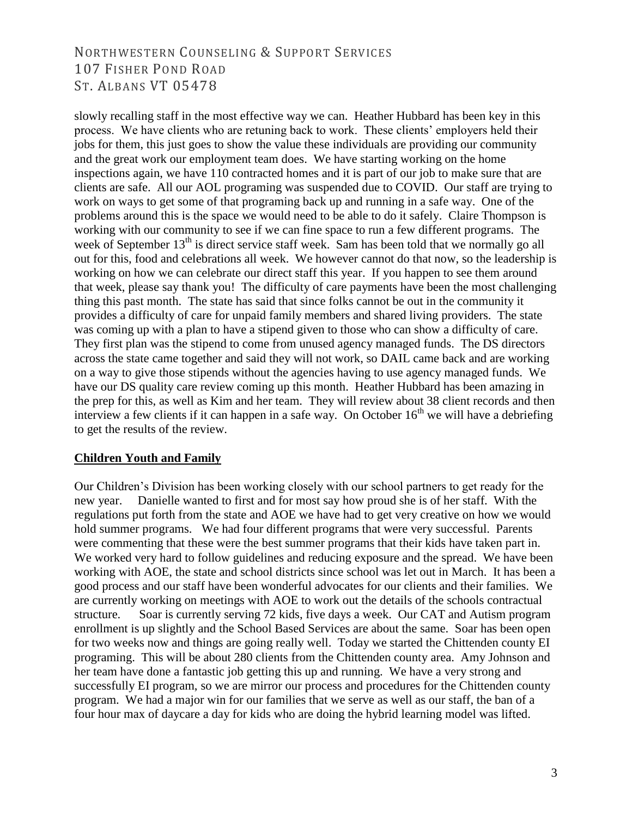slowly recalling staff in the most effective way we can. Heather Hubbard has been key in this process. We have clients who are retuning back to work. These clients' employers held their jobs for them, this just goes to show the value these individuals are providing our community and the great work our employment team does. We have starting working on the home inspections again, we have 110 contracted homes and it is part of our job to make sure that are clients are safe. All our AOL programing was suspended due to COVID. Our staff are trying to work on ways to get some of that programing back up and running in a safe way. One of the problems around this is the space we would need to be able to do it safely. Claire Thompson is working with our community to see if we can fine space to run a few different programs. The week of September  $13<sup>th</sup>$  is direct service staff week. Sam has been told that we normally go all out for this, food and celebrations all week. We however cannot do that now, so the leadership is working on how we can celebrate our direct staff this year. If you happen to see them around that week, please say thank you! The difficulty of care payments have been the most challenging thing this past month. The state has said that since folks cannot be out in the community it provides a difficulty of care for unpaid family members and shared living providers. The state was coming up with a plan to have a stipend given to those who can show a difficulty of care. They first plan was the stipend to come from unused agency managed funds. The DS directors across the state came together and said they will not work, so DAIL came back and are working on a way to give those stipends without the agencies having to use agency managed funds. We have our DS quality care review coming up this month. Heather Hubbard has been amazing in the prep for this, as well as Kim and her team. They will review about 38 client records and then interview a few clients if it can happen in a safe way. On October  $16<sup>th</sup>$  we will have a debriefing to get the results of the review.

## **Children Youth and Family**

Our Children's Division has been working closely with our school partners to get ready for the new year. Danielle wanted to first and for most say how proud she is of her staff. With the regulations put forth from the state and AOE we have had to get very creative on how we would hold summer programs. We had four different programs that were very successful. Parents were commenting that these were the best summer programs that their kids have taken part in. We worked very hard to follow guidelines and reducing exposure and the spread. We have been working with AOE, the state and school districts since school was let out in March. It has been a good process and our staff have been wonderful advocates for our clients and their families. We are currently working on meetings with AOE to work out the details of the schools contractual structure. Soar is currently serving 72 kids, five days a week. Our CAT and Autism program enrollment is up slightly and the School Based Services are about the same. Soar has been open for two weeks now and things are going really well. Today we started the Chittenden county EI programing. This will be about 280 clients from the Chittenden county area. Amy Johnson and her team have done a fantastic job getting this up and running. We have a very strong and successfully EI program, so we are mirror our process and procedures for the Chittenden county program. We had a major win for our families that we serve as well as our staff, the ban of a four hour max of daycare a day for kids who are doing the hybrid learning model was lifted.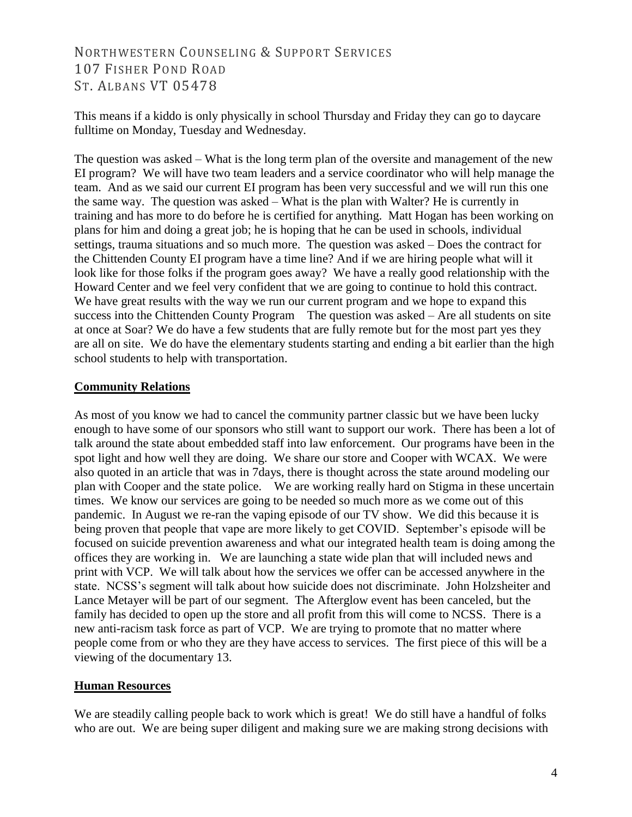This means if a kiddo is only physically in school Thursday and Friday they can go to daycare fulltime on Monday, Tuesday and Wednesday.

The question was asked – What is the long term plan of the oversite and management of the new EI program? We will have two team leaders and a service coordinator who will help manage the team. And as we said our current EI program has been very successful and we will run this one the same way. The question was asked – What is the plan with Walter? He is currently in training and has more to do before he is certified for anything. Matt Hogan has been working on plans for him and doing a great job; he is hoping that he can be used in schools, individual settings, trauma situations and so much more. The question was asked – Does the contract for the Chittenden County EI program have a time line? And if we are hiring people what will it look like for those folks if the program goes away? We have a really good relationship with the Howard Center and we feel very confident that we are going to continue to hold this contract. We have great results with the way we run our current program and we hope to expand this success into the Chittenden County Program The question was asked – Are all students on site at once at Soar? We do have a few students that are fully remote but for the most part yes they are all on site. We do have the elementary students starting and ending a bit earlier than the high school students to help with transportation.

## **Community Relations**

As most of you know we had to cancel the community partner classic but we have been lucky enough to have some of our sponsors who still want to support our work. There has been a lot of talk around the state about embedded staff into law enforcement. Our programs have been in the spot light and how well they are doing. We share our store and Cooper with WCAX. We were also quoted in an article that was in 7days, there is thought across the state around modeling our plan with Cooper and the state police. We are working really hard on Stigma in these uncertain times. We know our services are going to be needed so much more as we come out of this pandemic. In August we re-ran the vaping episode of our TV show. We did this because it is being proven that people that vape are more likely to get COVID. September's episode will be focused on suicide prevention awareness and what our integrated health team is doing among the offices they are working in. We are launching a state wide plan that will included news and print with VCP. We will talk about how the services we offer can be accessed anywhere in the state. NCSS's segment will talk about how suicide does not discriminate. John Holzsheiter and Lance Metayer will be part of our segment. The Afterglow event has been canceled, but the family has decided to open up the store and all profit from this will come to NCSS. There is a new anti-racism task force as part of VCP. We are trying to promote that no matter where people come from or who they are they have access to services. The first piece of this will be a viewing of the documentary 13.

## **Human Resources**

We are steadily calling people back to work which is great! We do still have a handful of folks who are out. We are being super diligent and making sure we are making strong decisions with